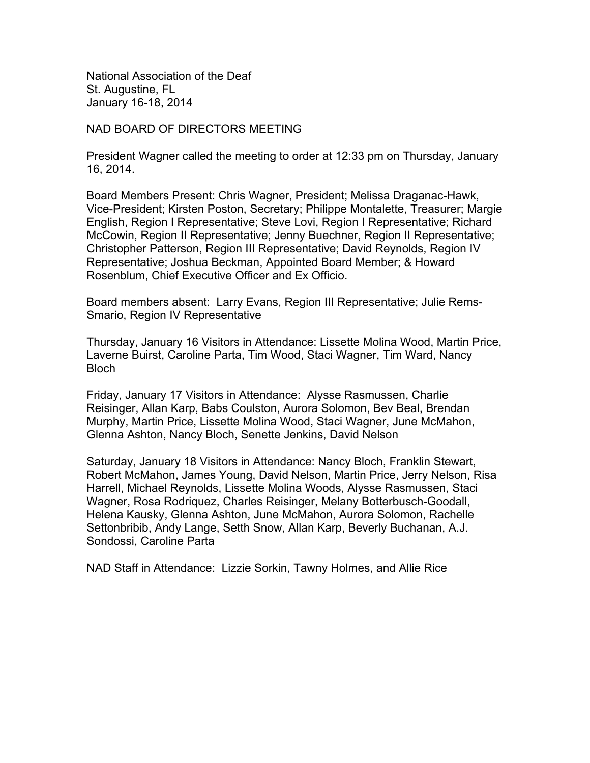National Association of the Deaf St. Augustine, FL January 16-18, 2014

NAD BOARD OF DIRECTORS MEETING

President Wagner called the meeting to order at 12:33 pm on Thursday, January 16, 2014.

Board Members Present: Chris Wagner, President; Melissa Draganac-Hawk, Vice-President; Kirsten Poston, Secretary; Philippe Montalette, Treasurer; Margie English, Region I Representative; Steve Lovi, Region I Representative; Richard McCowin, Region II Representative; Jenny Buechner, Region II Representative; Christopher Patterson, Region III Representative; David Reynolds, Region IV Representative; Joshua Beckman, Appointed Board Member; & Howard Rosenblum, Chief Executive Officer and Ex Officio.

Board members absent: Larry Evans, Region III Representative; Julie Rems-Smario, Region IV Representative

Thursday, January 16 Visitors in Attendance: Lissette Molina Wood, Martin Price, Laverne Buirst, Caroline Parta, Tim Wood, Staci Wagner, Tim Ward, Nancy Bloch

Friday, January 17 Visitors in Attendance: Alysse Rasmussen, Charlie Reisinger, Allan Karp, Babs Coulston, Aurora Solomon, Bev Beal, Brendan Murphy, Martin Price, Lissette Molina Wood, Staci Wagner, June McMahon, Glenna Ashton, Nancy Bloch, Senette Jenkins, David Nelson

Saturday, January 18 Visitors in Attendance: Nancy Bloch, Franklin Stewart, Robert McMahon, James Young, David Nelson, Martin Price, Jerry Nelson, Risa Harrell, Michael Reynolds, Lissette Molina Woods, Alysse Rasmussen, Staci Wagner, Rosa Rodriquez, Charles Reisinger, Melany Botterbusch-Goodall, Helena Kausky, Glenna Ashton, June McMahon, Aurora Solomon, Rachelle Settonbribib, Andy Lange, Setth Snow, Allan Karp, Beverly Buchanan, A.J. Sondossi, Caroline Parta

NAD Staff in Attendance: Lizzie Sorkin, Tawny Holmes, and Allie Rice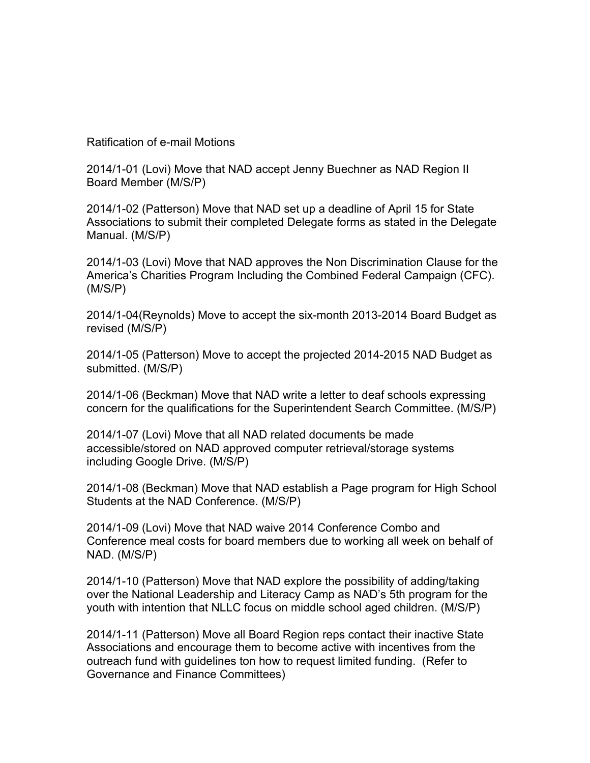Ratification of e-mail Motions

2014/1-01 (Lovi) Move that NAD accept Jenny Buechner as NAD Region II Board Member (M/S/P)

2014/1-02 (Patterson) Move that NAD set up a deadline of April 15 for State Associations to submit their completed Delegate forms as stated in the Delegate Manual. (M/S/P)

2014/1-03 (Lovi) Move that NAD approves the Non Discrimination Clause for the America's Charities Program Including the Combined Federal Campaign (CFC). (M/S/P)

2014/1-04(Reynolds) Move to accept the six-month 2013-2014 Board Budget as revised (M/S/P)

2014/1-05 (Patterson) Move to accept the projected 2014-2015 NAD Budget as submitted. (M/S/P)

2014/1-06 (Beckman) Move that NAD write a letter to deaf schools expressing concern for the qualifications for the Superintendent Search Committee. (M/S/P)

2014/1-07 (Lovi) Move that all NAD related documents be made accessible/stored on NAD approved computer retrieval/storage systems including Google Drive. (M/S/P)

2014/1-08 (Beckman) Move that NAD establish a Page program for High School Students at the NAD Conference. (M/S/P)

2014/1-09 (Lovi) Move that NAD waive 2014 Conference Combo and Conference meal costs for board members due to working all week on behalf of NAD. (M/S/P)

2014/1-10 (Patterson) Move that NAD explore the possibility of adding/taking over the National Leadership and Literacy Camp as NAD's 5th program for the youth with intention that NLLC focus on middle school aged children. (M/S/P)

2014/1-11 (Patterson) Move all Board Region reps contact their inactive State Associations and encourage them to become active with incentives from the outreach fund with guidelines ton how to request limited funding. (Refer to Governance and Finance Committees)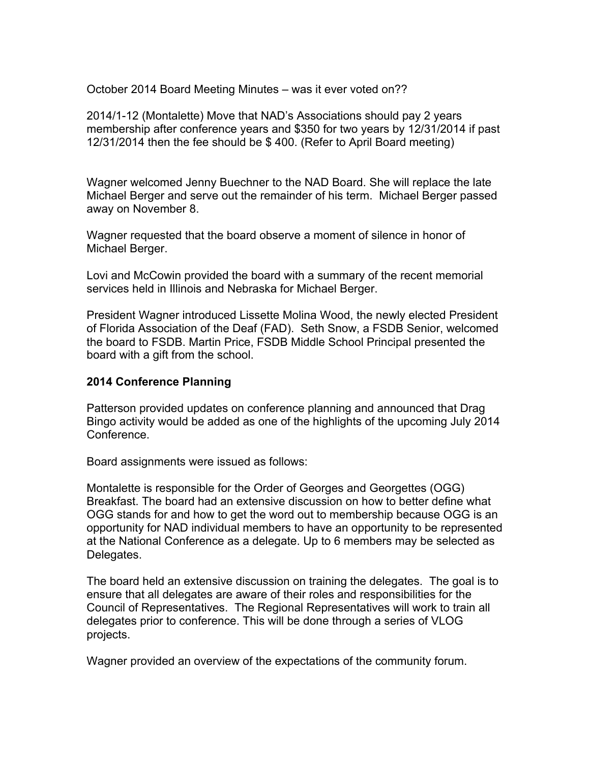October 2014 Board Meeting Minutes – was it ever voted on??

2014/1-12 (Montalette) Move that NAD's Associations should pay 2 years membership after conference years and \$350 for two years by 12/31/2014 if past 12/31/2014 then the fee should be \$ 400. (Refer to April Board meeting)

Wagner welcomed Jenny Buechner to the NAD Board. She will replace the late Michael Berger and serve out the remainder of his term. Michael Berger passed away on November 8.

Wagner requested that the board observe a moment of silence in honor of Michael Berger.

Lovi and McCowin provided the board with a summary of the recent memorial services held in Illinois and Nebraska for Michael Berger.

President Wagner introduced Lissette Molina Wood, the newly elected President of Florida Association of the Deaf (FAD). Seth Snow, a FSDB Senior, welcomed the board to FSDB. Martin Price, FSDB Middle School Principal presented the board with a gift from the school.

# **2014 Conference Planning**

Patterson provided updates on conference planning and announced that Drag Bingo activity would be added as one of the highlights of the upcoming July 2014 Conference.

Board assignments were issued as follows:

Montalette is responsible for the Order of Georges and Georgettes (OGG) Breakfast. The board had an extensive discussion on how to better define what OGG stands for and how to get the word out to membership because OGG is an opportunity for NAD individual members to have an opportunity to be represented at the National Conference as a delegate. Up to 6 members may be selected as Delegates.

The board held an extensive discussion on training the delegates. The goal is to ensure that all delegates are aware of their roles and responsibilities for the Council of Representatives. The Regional Representatives will work to train all delegates prior to conference. This will be done through a series of VLOG projects.

Wagner provided an overview of the expectations of the community forum.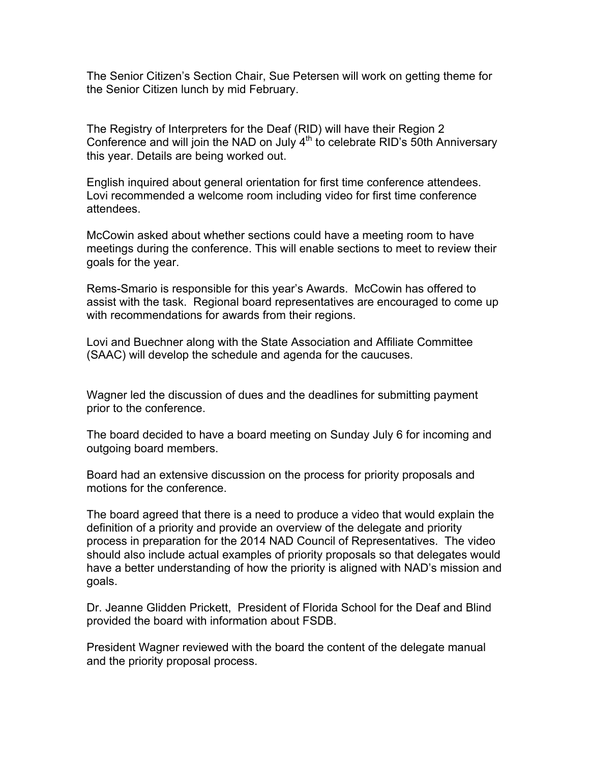The Senior Citizen's Section Chair, Sue Petersen will work on getting theme for the Senior Citizen lunch by mid February.

The Registry of Interpreters for the Deaf (RID) will have their Region 2 Conference and will join the NAD on July  $4<sup>th</sup>$  to celebrate RID's 50th Anniversary this year. Details are being worked out.

English inquired about general orientation for first time conference attendees. Lovi recommended a welcome room including video for first time conference attendees.

McCowin asked about whether sections could have a meeting room to have meetings during the conference. This will enable sections to meet to review their goals for the year.

Rems-Smario is responsible for this year's Awards. McCowin has offered to assist with the task. Regional board representatives are encouraged to come up with recommendations for awards from their regions.

Lovi and Buechner along with the State Association and Affiliate Committee (SAAC) will develop the schedule and agenda for the caucuses.

Wagner led the discussion of dues and the deadlines for submitting payment prior to the conference.

The board decided to have a board meeting on Sunday July 6 for incoming and outgoing board members.

Board had an extensive discussion on the process for priority proposals and motions for the conference.

The board agreed that there is a need to produce a video that would explain the definition of a priority and provide an overview of the delegate and priority process in preparation for the 2014 NAD Council of Representatives. The video should also include actual examples of priority proposals so that delegates would have a better understanding of how the priority is aligned with NAD's mission and goals.

Dr. Jeanne Glidden Prickett, President of Florida School for the Deaf and Blind provided the board with information about FSDB.

President Wagner reviewed with the board the content of the delegate manual and the priority proposal process.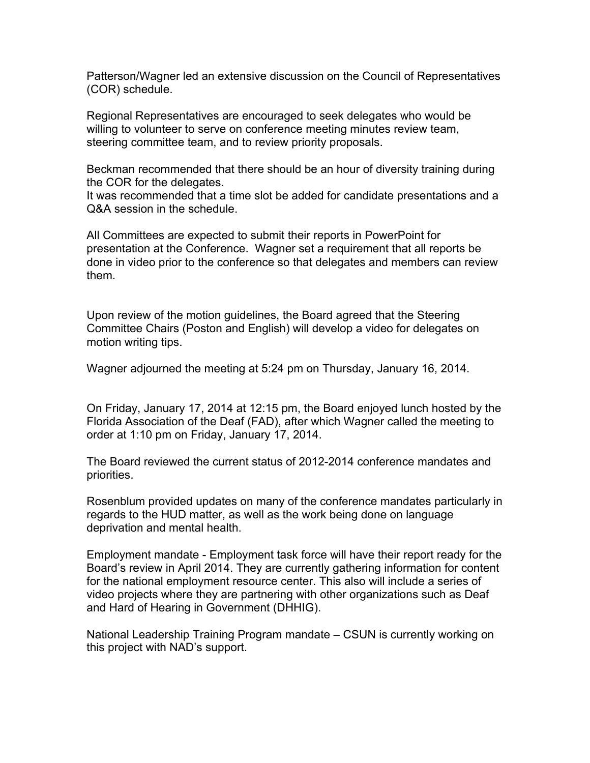Patterson/Wagner led an extensive discussion on the Council of Representatives (COR) schedule.

Regional Representatives are encouraged to seek delegates who would be willing to volunteer to serve on conference meeting minutes review team, steering committee team, and to review priority proposals.

Beckman recommended that there should be an hour of diversity training during the COR for the delegates.

It was recommended that a time slot be added for candidate presentations and a Q&A session in the schedule.

All Committees are expected to submit their reports in PowerPoint for presentation at the Conference. Wagner set a requirement that all reports be done in video prior to the conference so that delegates and members can review them.

Upon review of the motion guidelines, the Board agreed that the Steering Committee Chairs (Poston and English) will develop a video for delegates on motion writing tips.

Wagner adjourned the meeting at 5:24 pm on Thursday, January 16, 2014.

On Friday, January 17, 2014 at 12:15 pm, the Board enjoyed lunch hosted by the Florida Association of the Deaf (FAD), after which Wagner called the meeting to order at 1:10 pm on Friday, January 17, 2014.

The Board reviewed the current status of 2012-2014 conference mandates and priorities.

Rosenblum provided updates on many of the conference mandates particularly in regards to the HUD matter, as well as the work being done on language deprivation and mental health.

Employment mandate - Employment task force will have their report ready for the Board's review in April 2014. They are currently gathering information for content for the national employment resource center. This also will include a series of video projects where they are partnering with other organizations such as Deaf and Hard of Hearing in Government (DHHIG).

National Leadership Training Program mandate – CSUN is currently working on this project with NAD's support.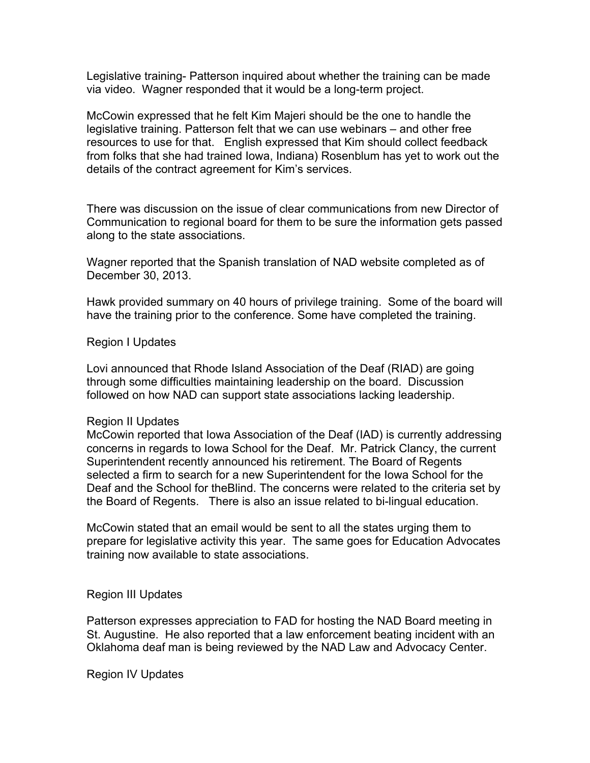Legislative training- Patterson inquired about whether the training can be made via video. Wagner responded that it would be a long-term project.

McCowin expressed that he felt Kim Majeri should be the one to handle the legislative training. Patterson felt that we can use webinars – and other free resources to use for that. English expressed that Kim should collect feedback from folks that she had trained Iowa, Indiana) Rosenblum has yet to work out the details of the contract agreement for Kim's services.

There was discussion on the issue of clear communications from new Director of Communication to regional board for them to be sure the information gets passed along to the state associations.

Wagner reported that the Spanish translation of NAD website completed as of December 30, 2013.

Hawk provided summary on 40 hours of privilege training. Some of the board will have the training prior to the conference. Some have completed the training.

## Region I Updates

Lovi announced that Rhode Island Association of the Deaf (RIAD) are going through some difficulties maintaining leadership on the board. Discussion followed on how NAD can support state associations lacking leadership.

### Region II Updates

McCowin reported that Iowa Association of the Deaf (IAD) is currently addressing concerns in regards to Iowa School for the Deaf. Mr. Patrick Clancy, the current Superintendent recently announced his retirement. The Board of Regents selected a firm to search for a new Superintendent for the Iowa School for the Deaf and the School for theBlind. The concerns were related to the criteria set by the Board of Regents. There is also an issue related to bi-lingual education.

McCowin stated that an email would be sent to all the states urging them to prepare for legislative activity this year. The same goes for Education Advocates training now available to state associations.

## Region III Updates

Patterson expresses appreciation to FAD for hosting the NAD Board meeting in St. Augustine. He also reported that a law enforcement beating incident with an Oklahoma deaf man is being reviewed by the NAD Law and Advocacy Center.

Region IV Updates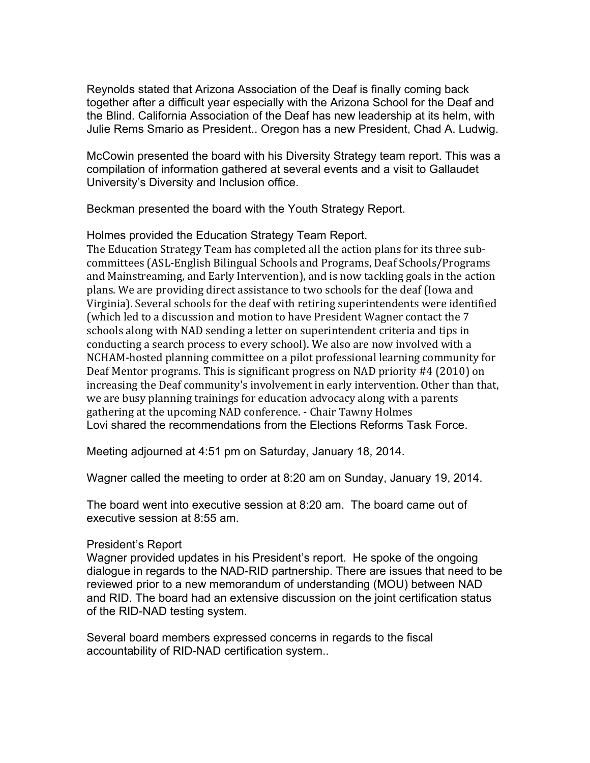Reynolds stated that Arizona Association of the Deaf is finally coming back together after a difficult year especially with the Arizona School for the Deaf and the Blind. California Association of the Deaf has new leadership at its helm, with Julie Rems Smario as President.. Oregon has a new President, Chad A. Ludwig.

McCowin presented the board with his Diversity Strategy team report. This was a compilation of information gathered at several events and a visit to Gallaudet University's Diversity and Inclusion office.

Beckman presented the board with the Youth Strategy Report.

## Holmes provided the Education Strategy Team Report.

The Education Strategy Team has completed all the action plans for its three subcommittees (ASL-English Bilingual Schools and Programs, Deaf Schools/Programs and Mainstreaming, and Early Intervention), and is now tackling goals in the action plans. We are providing direct assistance to two schools for the deaf (Iowa and Virginia). Several schools for the deaf with retiring superintendents were identified (which led to a discussion and motion to have President Wagner contact the 7 schools along with NAD sending a letter on superintendent criteria and tips in conducting a search process to every school). We also are now involved with a NCHAM-hosted planning committee on a pilot professional learning community for Deaf Mentor programs. This is significant progress on NAD priority #4 (2010) on increasing the Deaf community's involvement in early intervention. Other than that, we are busy planning trainings for education advocacy along with a parents gathering at the upcoming NAD conference. - Chair Tawny Holmes Lovi shared the recommendations from the Elections Reforms Task Force.

Meeting adjourned at 4:51 pm on Saturday, January 18, 2014.

Wagner called the meeting to order at 8:20 am on Sunday, January 19, 2014.

The board went into executive session at 8:20 am. The board came out of executive session at 8:55 am.

## President's Report

Wagner provided updates in his President's report. He spoke of the ongoing dialogue in regards to the NAD-RID partnership. There are issues that need to be reviewed prior to a new memorandum of understanding (MOU) between NAD and RID. The board had an extensive discussion on the joint certification status of the RID-NAD testing system.

Several board members expressed concerns in regards to the fiscal accountability of RID-NAD certification system..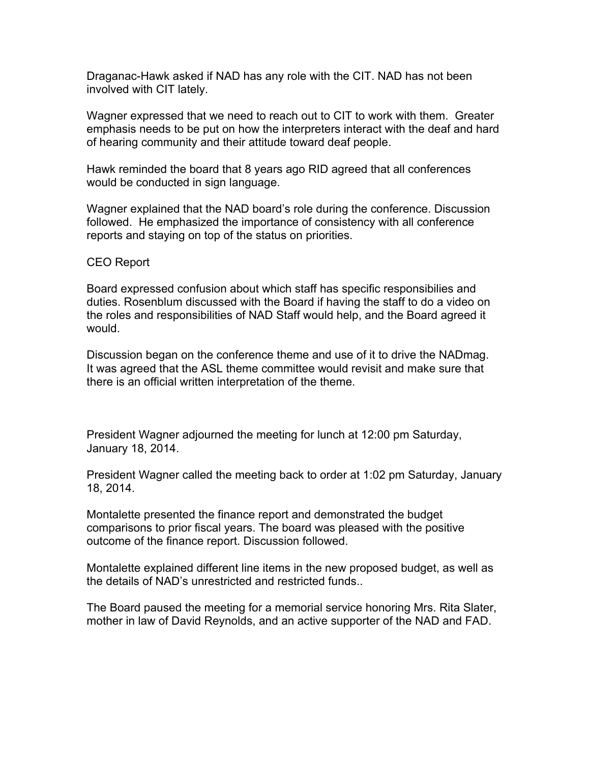Draganac-Hawk asked if NAD has any role with the CIT. NAD has not been involved with CIT lately.

Wagner expressed that we need to reach out to CIT to work with them. Greater emphasis needs to be put on how the interpreters interact with the deaf and hard of hearing community and their attitude toward deaf people.

Hawk reminded the board that 8 years ago RID agreed that all conferences would be conducted in sign language.

Wagner explained that the NAD board's role during the conference. Discussion followed. He emphasized the importance of consistency with all conference reports and staying on top of the status on priorities.

CEO Report

Board expressed confusion about which staff has specific responsibilies and duties. Rosenblum discussed with the Board if having the staff to do a video on the roles and responsibilities of NAD Staff would help, and the Board agreed it would.

Discussion began on the conference theme and use of it to drive the NADmag. It was agreed that the ASL theme committee would revisit and make sure that there is an official written interpretation of the theme.

President Wagner adjourned the meeting for lunch at 12:00 pm Saturday, January 18, 2014.

President Wagner called the meeting back to order at 1:02 pm Saturday, January 18, 2014.

Montalette presented the finance report and demonstrated the budget comparisons to prior fiscal years. The board was pleased with the positive outcome of the finance report. Discussion followed.

Montalette explained different line items in the new proposed budget, as well as the details of NAD's unrestricted and restricted funds..

The Board paused the meeting for a memorial service honoring Mrs. Rita Slater, mother in law of David Reynolds, and an active supporter of the NAD and FAD.